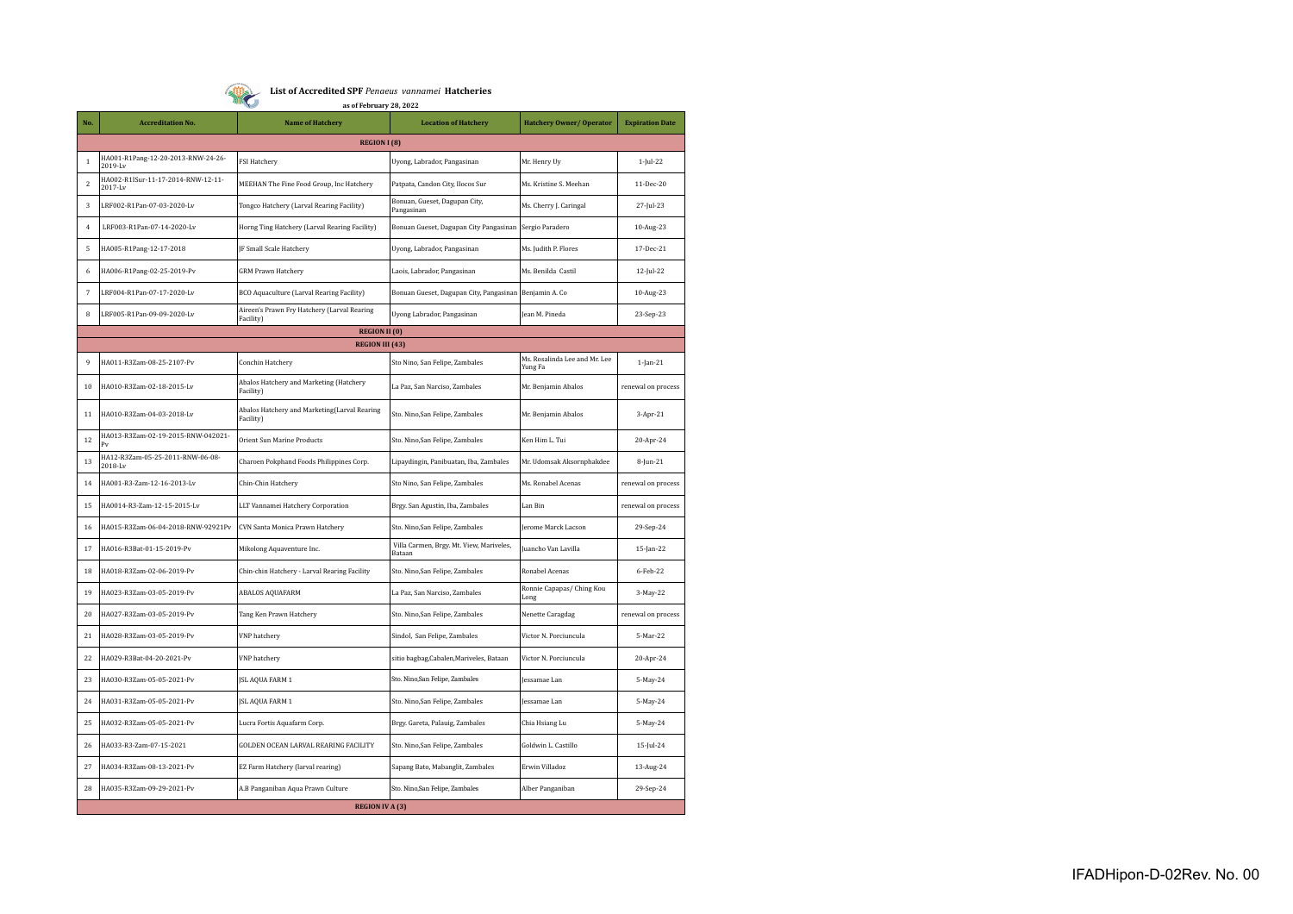

|                | $\blacktriangleright$<br>as of February 28, 2022 |                                                           |                                                    |                                          |                        |  |  |  |  |  |
|----------------|--------------------------------------------------|-----------------------------------------------------------|----------------------------------------------------|------------------------------------------|------------------------|--|--|--|--|--|
| No.            | <b>Accreditation No.</b>                         | <b>Name of Hatchery</b>                                   | <b>Location of Hatchery</b>                        | Hatchery Owner/ Operator                 | <b>Expiration Date</b> |  |  |  |  |  |
|                | <b>REGION I (8)</b>                              |                                                           |                                                    |                                          |                        |  |  |  |  |  |
| $\mathbf 1$    | HA001-R1Pang-12-20-2013-RNW-24-26-<br>2019-Lv    | <b>FSI Hatchery</b>                                       | Uyong, Labrador, Pangasinan                        | Mr. Henry Uy                             | $1 -  ul - 22$         |  |  |  |  |  |
| $\overline{2}$ | HA002-R1ISur-11-17-2014-RNW-12-11-<br>2017-Lv    | MEEHAN The Fine Food Group, Inc Hatchery                  | Patpata, Candon City, Ilocos Sur                   | Ms. Kristine S. Meehan                   | 11-Dec-20              |  |  |  |  |  |
| 3              | LRF002-R1Pan-07-03-2020-Lv                       | Tongco Hatchery (Larval Rearing Facility)                 | Bonuan, Gueset, Dagupan City,<br>Pangasinan        | Ms. Cherry J. Caringal                   | $27$ -Jul-23           |  |  |  |  |  |
| $\overline{4}$ | LRF003-R1Pan-07-14-2020-Lv                       | Horng Ting Hatchery (Larval Rearing Facility)             | Bonuan Gueset, Dagupan City Pangasinan             | Sergio Paradero                          | 10-Aug-23              |  |  |  |  |  |
| 5              | HA005-R1Pang-12-17-2018                          | JF Small Scale Hatchery                                   | Uyong, Labrador, Pangasinan                        | Ms. Judith P. Flores                     | 17-Dec-21              |  |  |  |  |  |
| 6              | HA006-R1Pang-02-25-2019-Pv                       | <b>GRM Prawn Hatchery</b>                                 | Laois, Labrador, Pangasinan                        | Ms. Benilda Castil                       | 12-Jul-22              |  |  |  |  |  |
| $\sqrt{7}$     | LRF004-R1Pan-07-17-2020-Lv                       | BCO Aquaculture (Larval Rearing Facility)                 | Bonuan Gueset, Dagupan City, Pangasinan            | Benjamin A. Co                           | 10-Aug-23              |  |  |  |  |  |
| 8              | LRF005-R1Pan-09-09-2020-Lv                       | Aireen's Prawn Fry Hatchery (Larval Rearing<br>Facility)  | Uyong Labrador, Pangasinan                         | Jean M. Pineda                           | 23-Sep-23              |  |  |  |  |  |
|                | <b>REGION II</b> (0)                             |                                                           |                                                    |                                          |                        |  |  |  |  |  |
|                |                                                  | <b>REGION III (43)</b>                                    |                                                    |                                          |                        |  |  |  |  |  |
| 9              | HA011-R3Zam-08-25-2107-Pv                        | Conchin Hatchery                                          | Sto Nino, San Felipe, Zambales                     | Ms. Rosalinda Lee and Mr. Lee<br>Yung Fa | $1$ -Jan-21            |  |  |  |  |  |
| 10             | HA010-R3Zam-02-18-2015-Lv                        | Abalos Hatchery and Marketing (Hatchery<br>Facility)      | La Paz, San Narciso, Zambales                      | Mr. Benjamin Abalos                      | renewal on process     |  |  |  |  |  |
| 11             | HA010-R3Zam-04-03-2018-Lv                        | Abalos Hatchery and Marketing(Larval Rearing<br>Facility) | Sto. Nino, San Felipe, Zambales                    | Mr. Benjamin Abalos                      | 3-Apr-21               |  |  |  |  |  |
| 12             | HA013-R3Zam-02-19-2015-RNW-042021-               | Orient Sun Marine Products                                | Sto. Nino,San Felipe, Zambales                     | Ken Him L. Tui                           | 20-Apr-24              |  |  |  |  |  |
| 13             | HA12-R3Zam-05-25-2011-RNW-06-08-<br>2018-Lv      | Charoen Pokphand Foods Philippines Corp.                  | Lipaydingin, Panibuatan, Iba, Zambales             | Mr. Udomsak Aksornphakdee                | $8$ -Jun-21            |  |  |  |  |  |
| 14             | HA001-R3-Zam-12-16-2013-Lv                       | Chin-Chin Hatchery                                        | Sto Nino, San Felipe, Zambales                     | Ms. Ronabel Acenas                       | renewal on process     |  |  |  |  |  |
| 15             | HA0014-R3-Zam-12-15-2015-Lv                      | LLT Vannamei Hatchery Corporation                         | Brgy. San Agustin, Iba, Zambales                   | Lan Bin                                  | renewal on process     |  |  |  |  |  |
| 16             | HA015-R3Zam-06-04-2018-RNW-92921Pv               | CVN Santa Monica Prawn Hatchery                           | Sto. Nino, San Felipe, Zambales                    | Jerome Marck Lacson                      | 29-Sep-24              |  |  |  |  |  |
| 17             | HA016-R3Bat-01-15-2019-Pv                        | Mikolong Aquaventure Inc.                                 | Villa Carmen, Brgy. Mt. View, Mariveles,<br>Bataan | Juancho Van Lavilla                      | 15-Jan-22              |  |  |  |  |  |
| 18             | HA018-R3Zam-02-06-2019-Pv                        | Chin-chin Hatchery - Larval Rearing Facility              | Sto. Nino, San Felipe, Zambales                    | Ronabel Acenas                           | 6-Feb-22               |  |  |  |  |  |
| 19             | HA023-R3Zam-03-05-2019-Pv                        | <b>ABALOS AQUAFARM</b>                                    | La Paz, San Narciso, Zambales                      | Ronnie Capapas/ Ching Kou<br>Long        | 3-May-22               |  |  |  |  |  |
| 20             | HA027-R3Zam-03-05-2019-Pv                        | Tang Ken Prawn Hatchery                                   | Sto. Nino, San Felipe, Zambales                    | Nenette Caragdag                         | renewal on process     |  |  |  |  |  |
| 21             | HA028-R3Zam-03-05-2019-Pv                        | VNP hatchery                                              | Sindol, San Felipe, Zambales                       | Victor N. Porciuncula                    | 5-Mar-22               |  |  |  |  |  |
| 22             | HA029-R3Bat-04-20-2021-Pv                        | <b>VNP</b> hatchery                                       | sitio bagbag, Cabalen, Mariveles, Bataan           | Victor N. Porciuncula                    | 20-Apr-24              |  |  |  |  |  |
| 23             | HA030-R3Zam-05-05-2021-Pv                        | <b>JSL AQUA FARM 1</b>                                    | Sto. Nino,San Felipe, Zambales                     | Jessamae Lan                             | 5-May-24               |  |  |  |  |  |
| 24             | HA031-R3Zam-05-05-2021-Pv                        | <b>JSL AQUA FARM 1</b>                                    | Sto. Nino, San Felipe, Zambales                    | Jessamae Lan                             | 5-May-24               |  |  |  |  |  |
| 25             | HA032-R3Zam-05-05-2021-Pv                        | Lucra Fortis Aquafarm Corp.                               | Brgy. Gareta, Palauig, Zambales                    | Chia Hsiang Lu                           | 5-May-24               |  |  |  |  |  |
| 26             | HA033-R3-Zam-07-15-2021                          | GOLDEN OCEAN LARVAL REARING FACILITY                      | Sto. Nino, San Felipe, Zambales                    | Goldwin L. Castillo                      | 15-Jul-24              |  |  |  |  |  |
| 27             | HA034-R3Zam-08-13-2021-Pv                        | EZ Farm Hatchery (larval rearing)                         | Sapang Bato, Mabanglit, Zambales                   | Erwin Villadoz                           | 13-Aug-24              |  |  |  |  |  |
| 28             | HA035-R3Zam-09-29-2021-Pv                        | A.B Panganiban Aqua Prawn Culture                         | Sto. Nino,San Felipe, Zambales                     | Alber Panganiban                         | 29-Sep-24              |  |  |  |  |  |
|                | <b>REGION IV A (3)</b>                           |                                                           |                                                    |                                          |                        |  |  |  |  |  |